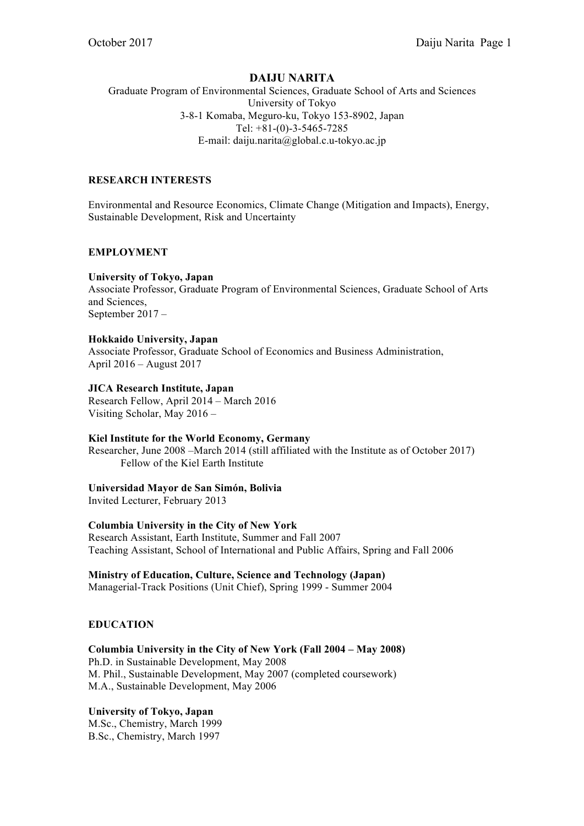# **DAIJU NARITA**

Graduate Program of Environmental Sciences, Graduate School of Arts and Sciences University of Tokyo 3-8-1 Komaba, Meguro-ku, Tokyo 153-8902, Japan Tel: +81-(0)-3-5465-7285 E-mail: daiju.narita@global.c.u-tokyo.ac.jp

### **RESEARCH INTERESTS**

Environmental and Resource Economics, Climate Change (Mitigation and Impacts), Energy, Sustainable Development, Risk and Uncertainty

## **EMPLOYMENT**

### **University of Tokyo, Japan**

Associate Professor, Graduate Program of Environmental Sciences, Graduate School of Arts and Sciences,

September 2017 –

## **Hokkaido University, Japan**

Associate Professor, Graduate School of Economics and Business Administration, April 2016 – August 2017

### **JICA Research Institute, Japan**

Research Fellow, April 2014 – March 2016 Visiting Scholar, May 2016 –

## **Kiel Institute for the World Economy, Germany**

Researcher, June 2008 –March 2014 (still affiliated with the Institute as of October 2017) Fellow of the Kiel Earth Institute

#### **Universidad Mayor de San Simón, Bolivia**

Invited Lecturer, February 2013

#### **Columbia University in the City of New York**

Research Assistant, Earth Institute, Summer and Fall 2007 Teaching Assistant, School of International and Public Affairs, Spring and Fall 2006

#### **Ministry of Education, Culture, Science and Technology (Japan)**

Managerial-Track Positions (Unit Chief), Spring 1999 - Summer 2004

## **EDUCATION**

**Columbia University in the City of New York (Fall 2004 – May 2008)** Ph.D. in Sustainable Development, May 2008 M. Phil., Sustainable Development, May 2007 (completed coursework) M.A., Sustainable Development, May 2006

## **University of Tokyo, Japan**

M.Sc., Chemistry, March 1999 B.Sc., Chemistry, March 1997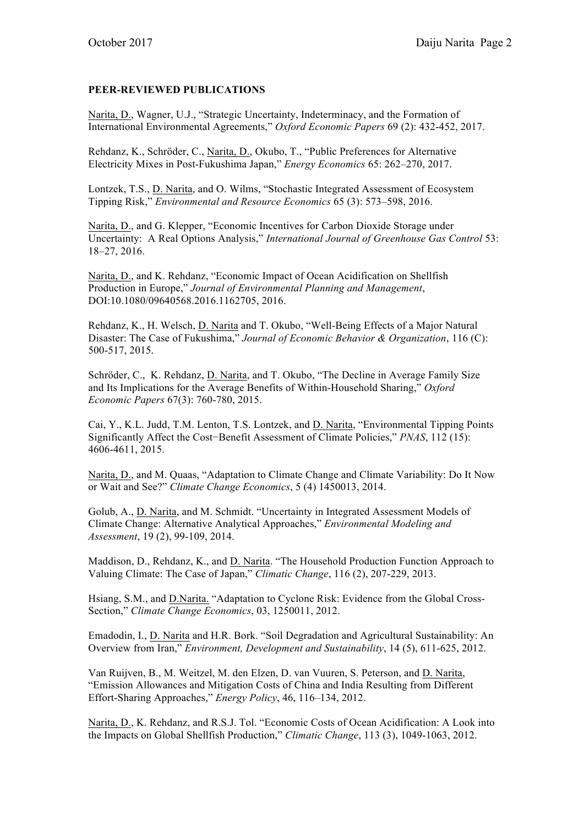## **PEER-REVIEWED PUBLICATIONS**

Narita, D., Wagner, U.J., "Strategic Uncertainty, Indeterminacy, and the Formation of International Environmental Agreements," *Oxford Economic Papers* 69 (2): 432-452, 2017.

Rehdanz, K., Schröder, C., Narita, D., Okubo, T., "Public Preferences for Alternative Electricity Mixes in Post-Fukushima Japan," *Energy Economics* 65: 262–270, 2017.

Lontzek, T.S., D. Narita, and O. Wilms, "Stochastic Integrated Assessment of Ecosystem Tipping Risk," *Environmental and Resource Economics* 65 (3): 573–598, 2016.

Narita, D., and G. Klepper, "Economic Incentives for Carbon Dioxide Storage under Uncertainty: A Real Options Analysis," *International Journal of Greenhouse Gas Control* 53: 18–27, 2016.

Narita, D., and K. Rehdanz, "Economic Impact of Ocean Acidification on Shellfish Production in Europe," *Journal of Environmental Planning and Management*, DOI:10.1080/09640568.2016.1162705, 2016.

Rehdanz, K., H. Welsch, D. Narita and T. Okubo, "Well-Being Effects of a Major Natural Disaster: The Case of Fukushima," *Journal of Economic Behavior & Organization*, 116 (C): 500-517, 2015.

Schröder, C., K. Rehdanz, D. Narita, and T. Okubo, "The Decline in Average Family Size and Its Implications for the Average Benefits of Within-Household Sharing," *Oxford Economic Papers* 67(3): 760-780, 2015.

Cai, Y., K.L. Judd, T.M. Lenton, T.S. Lontzek, and D. Narita, "Environmental Tipping Points Significantly Affect the Cost−Benefit Assessment of Climate Policies," *PNAS*, 112 (15): 4606-4611, 2015.

Narita, D., and M. Quaas, "Adaptation to Climate Change and Climate Variability: Do It Now or Wait and See?" *Climate Change Economics*, 5 (4) 1450013, 2014.

Golub, A., D. Narita, and M. Schmidt. "Uncertainty in Integrated Assessment Models of Climate Change: Alternative Analytical Approaches," *Environmental Modeling and Assessment*, 19 (2), 99-109, 2014.

Maddison, D., Rehdanz, K., and D. Narita. "The Household Production Function Approach to Valuing Climate: The Case of Japan," *Climatic Change*, 116 (2), 207-229, 2013.

Hsiang, S.M., and D.Narita. "Adaptation to Cyclone Risk: Evidence from the Global Cross-Section," *Climate Change Economics*, 03, 1250011, 2012.

Emadodin, I., D. Narita and H.R. Bork. "Soil Degradation and Agricultural Sustainability: An Overview from Iran," *Environment, Development and Sustainability*, 14 (5), 611-625, 2012.

Van Ruijven, B., M. Weitzel, M. den Elzen, D. van Vuuren, S. Peterson, and D. Narita, "Emission Allowances and Mitigation Costs of China and India Resulting from Different Effort-Sharing Approaches," *Energy Policy*, 46, 116–134, 2012.

Narita, D., K. Rehdanz, and R.S.J. Tol. "Economic Costs of Ocean Acidification: A Look into the Impacts on Global Shellfish Production," *Climatic Change*, 113 (3), 1049-1063, 2012.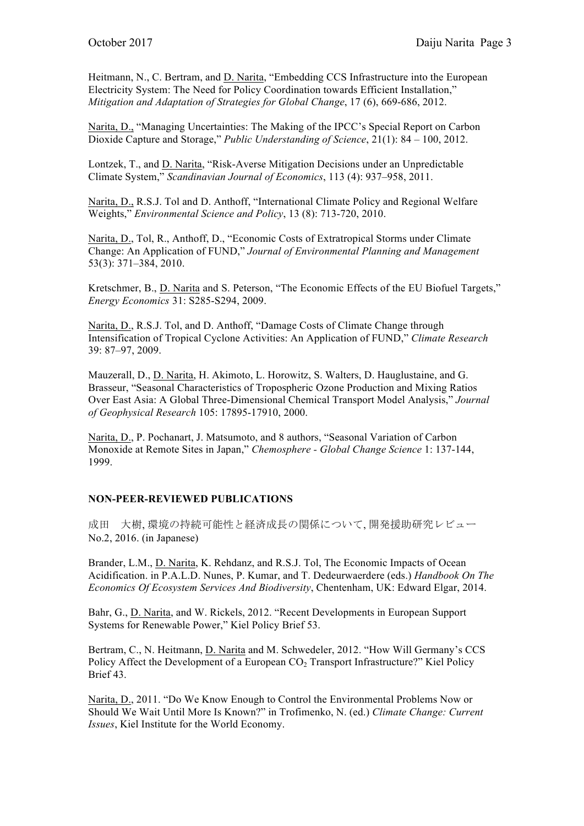Heitmann, N., C. Bertram, and **D. Narita**, "Embedding CCS Infrastructure into the European Electricity System: The Need for Policy Coordination towards Efficient Installation," *Mitigation and Adaptation of Strategies for Global Change*, 17 (6), 669-686, 2012.

Narita, D., "Managing Uncertainties: The Making of the IPCC's Special Report on Carbon Dioxide Capture and Storage," *Public Understanding of Science*, 21(1): 84 – 100, 2012.

Lontzek, T., and D. Narita, "Risk-Averse Mitigation Decisions under an Unpredictable Climate System," *Scandinavian Journal of Economics*, 113 (4): 937–958, 2011.

Narita, D., R.S.J. Tol and D. Anthoff, "International Climate Policy and Regional Welfare Weights," *Environmental Science and Policy*, 13 (8): 713-720, 2010.

Narita, D., Tol, R., Anthoff, D., "Economic Costs of Extratropical Storms under Climate Change: An Application of FUND," *Journal of Environmental Planning and Management* 53(3): 371–384, 2010.

Kretschmer, B., D. Narita and S. Peterson, "The Economic Effects of the EU Biofuel Targets," *Energy Economics* 31: S285-S294, 2009.

Narita, D., R.S.J. Tol, and D. Anthoff, "Damage Costs of Climate Change through Intensification of Tropical Cyclone Activities: An Application of FUND," *Climate Research* 39: 87–97, 2009.

Mauzerall, D., D. Narita, H. Akimoto, L. Horowitz, S. Walters, D. Hauglustaine, and G. Brasseur, "Seasonal Characteristics of Tropospheric Ozone Production and Mixing Ratios Over East Asia: A Global Three-Dimensional Chemical Transport Model Analysis," *Journal of Geophysical Research* 105: 17895-17910, 2000.

Narita, D., P. Pochanart, J. Matsumoto, and 8 authors, "Seasonal Variation of Carbon Monoxide at Remote Sites in Japan," *Chemosphere - Global Change Science* 1: 137-144, 1999.

## **NON-PEER-REVIEWED PUBLICATIONS**

成田 大樹, 環境の持続可能性と経済成長の関係について, 開発援助研究レビュー No.2, 2016. (in Japanese)

Brander, L.M., D. Narita, K. Rehdanz, and R.S.J. Tol, The Economic Impacts of Ocean Acidification. in P.A.L.D. Nunes, P. Kumar, and T. Dedeurwaerdere (eds.) *Handbook On The Economics Of Ecosystem Services And Biodiversity*, Chentenham, UK: Edward Elgar, 2014.

Bahr, G., D. Narita, and W. Rickels, 2012. "Recent Developments in European Support Systems for Renewable Power," Kiel Policy Brief 53.

Bertram, C., N. Heitmann, D. Narita and M. Schwedeler, 2012. "How Will Germany's CCS Policy Affect the Development of a European CO<sub>2</sub> Transport Infrastructure?" Kiel Policy Brief 43.

Narita, D., 2011. "Do We Know Enough to Control the Environmental Problems Now or Should We Wait Until More Is Known?" in Trofimenko, N. (ed.) *Climate Change: Current Issues*, Kiel Institute for the World Economy.